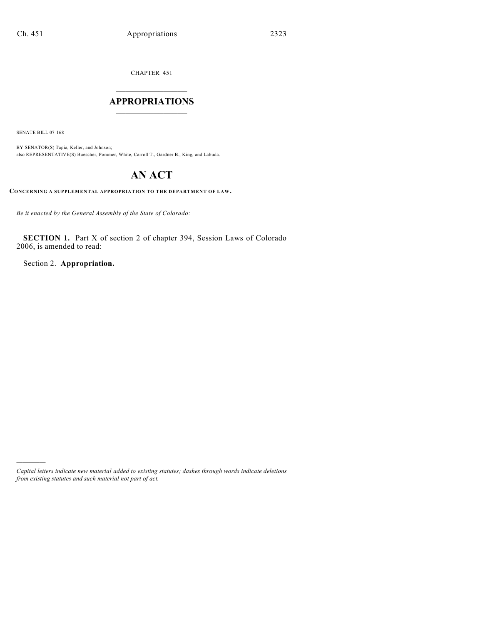CHAPTER 451

## $\mathcal{L}_\text{max}$  . The set of the set of the set of the set of the set of the set of the set of the set of the set of the set of the set of the set of the set of the set of the set of the set of the set of the set of the set **APPROPRIATIONS**  $\_$   $\_$   $\_$   $\_$   $\_$   $\_$   $\_$   $\_$

SENATE BILL 07-168

)))))

BY SENATOR(S) Tapia, Keller, and Johnson; also REPRESENTATIVE(S) Buescher, Pommer, White, Carroll T., Gardner B., King, and Labuda.

# **AN ACT**

**CONCERNING A SUPPLEMENTAL APPROPRIATION TO THE DEPARTMENT OF LAW.**

*Be it enacted by the General Assembly of the State of Colorado:*

**SECTION 1.** Part X of section 2 of chapter 394, Session Laws of Colorado 2006, is amended to read:

Section 2. **Appropriation.**

*Capital letters indicate new material added to existing statutes; dashes through words indicate deletions from existing statutes and such material not part of act.*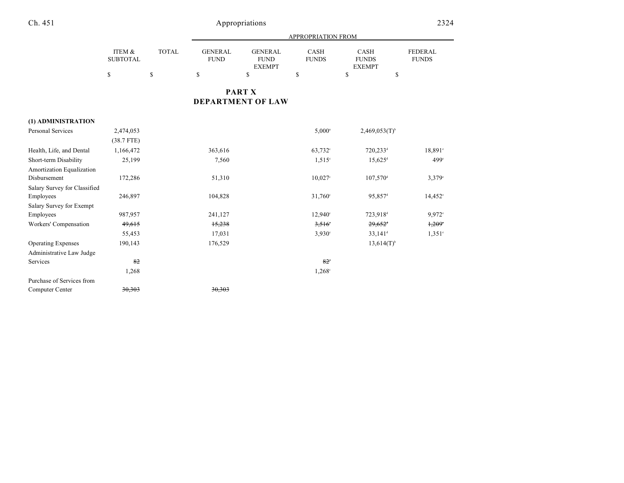|                              |                           |              | APPROPRIATION FROM            |                                                |                      |                                       |                                |  |
|------------------------------|---------------------------|--------------|-------------------------------|------------------------------------------------|----------------------|---------------------------------------|--------------------------------|--|
|                              | ITEM &<br><b>SUBTOTAL</b> | <b>TOTAL</b> | <b>GENERAL</b><br><b>FUND</b> | <b>GENERAL</b><br><b>FUND</b><br><b>EXEMPT</b> | CASH<br><b>FUNDS</b> | CASH<br><b>FUNDS</b><br><b>EXEMPT</b> | <b>FEDERAL</b><br><b>FUNDS</b> |  |
|                              | \$                        | $\mathbb{S}$ | $\mathbb{S}$                  | \$                                             | \$                   | \$<br>\$                              |                                |  |
|                              |                           |              |                               | <b>PART X</b>                                  |                      |                                       |                                |  |
|                              |                           |              |                               | <b>DEPARTMENT OF LAW</b>                       |                      |                                       |                                |  |
| (1) ADMINISTRATION           |                           |              |                               |                                                |                      |                                       |                                |  |
| <b>Personal Services</b>     | 2,474,053                 |              |                               |                                                | $5,000^{\circ}$      | $2,469,053(T)$ <sup>b</sup>           |                                |  |
|                              | $(38.7$ FTE)              |              |                               |                                                |                      |                                       |                                |  |
| Health, Life, and Dental     | 1,166,472                 |              | 363,616                       |                                                | 63,732 <sup>c</sup>  | 720,233 <sup>d</sup>                  | 18,891°                        |  |
| Short-term Disability        | 25,199                    |              | 7,560                         |                                                | $1,515^{\circ}$      | $15,625$ <sup>d</sup>                 | 499°                           |  |
| Amortization Equalization    |                           |              |                               |                                                |                      |                                       |                                |  |
| Disbursement                 | 172,286                   |              | 51,310                        |                                                | $10,027^{\circ}$     | $107,570$ <sup>d</sup>                | $3,379^{\circ}$                |  |
| Salary Survey for Classified |                           |              |                               |                                                |                      |                                       |                                |  |
| Employees                    | 246,897                   |              | 104,828                       |                                                | 31,760°              | 95,857 <sup>d</sup>                   | $14,452^{\circ}$               |  |
| Salary Survey for Exempt     |                           |              |                               |                                                |                      |                                       |                                |  |
| Employees                    | 987,957                   |              | 241,127                       |                                                | 12,940 <sup>c</sup>  | 723,918 <sup>d</sup>                  | 9,972 <sup>e</sup>             |  |
| Workers' Compensation        | 49,615                    |              | 15,238                        |                                                | 3,516                | $29,652$ <sup>t</sup>                 | 1,209                          |  |
|                              | 55,453                    |              | 17,031                        |                                                | 3,930°               | $33,141$ <sup>d</sup>                 | $1,351^{\circ}$                |  |
| <b>Operating Expenses</b>    | 190,143                   |              | 176,529                       |                                                |                      | $13,614(T)$ <sup>b</sup>              |                                |  |
| Administrative Law Judge     |                           |              |                               |                                                |                      |                                       |                                |  |
| Services                     | 82                        |              |                               |                                                | $82^\circ$           |                                       |                                |  |
|                              | 1,268                     |              |                               |                                                | $1,268^{\circ}$      |                                       |                                |  |
| Purchase of Services from    |                           |              |                               |                                                |                      |                                       |                                |  |
| Computer Center              | 30,303                    |              | 30,303                        |                                                |                      |                                       |                                |  |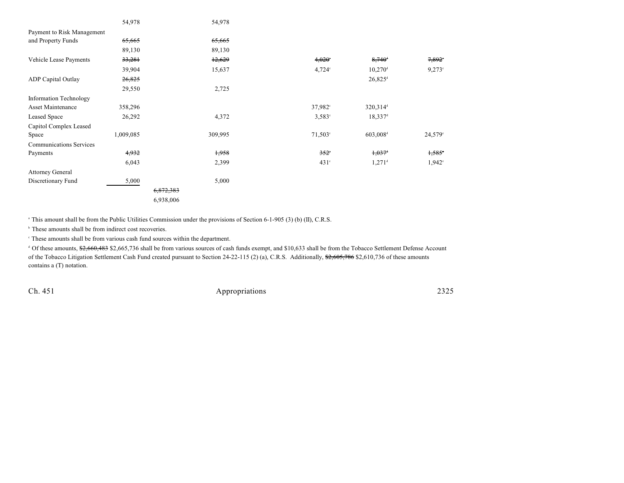|                                | 54,978    | 54,978    |                  |                       |                 |
|--------------------------------|-----------|-----------|------------------|-----------------------|-----------------|
| Payment to Risk Management     |           |           |                  |                       |                 |
| and Property Funds             | 65,665    | 65,665    |                  |                       |                 |
|                                | 89,130    | 89,130    |                  |                       |                 |
| Vehicle Lease Payments         | 33,281    | 12,629    | $4,020^{\circ}$  | $8,740^{\circ}$       | $7,892^{\circ}$ |
|                                | 39,904    | 15,637    | $4.724$ °        | $10,270$ <sup>d</sup> | $9,273^{\circ}$ |
| <b>ADP</b> Capital Outlay      | 26,825    |           |                  | $26,825$ <sup>d</sup> |                 |
|                                | 29,550    | 2,725     |                  |                       |                 |
| Information Technology         |           |           |                  |                       |                 |
| Asset Maintenance              | 358,296   |           | $37,982^{\circ}$ | 320,314 <sup>d</sup>  |                 |
| Leased Space                   | 26,292    | 4,372     | $3,583^{\circ}$  | $18,337$ <sup>d</sup> |                 |
| Capitol Complex Leased         |           |           |                  |                       |                 |
| Space                          | 1,009,085 | 309,995   | $71,503^{\circ}$ | 603,008 <sup>d</sup>  | 24,579°         |
| <b>Communications Services</b> |           |           |                  |                       |                 |
| Payments                       | 4,932     | 1,958     | $352^\circ$      | $1,037$ <sup>d</sup>  | 1,585           |
|                                | 6,043     | 2,399     | $431^\circ$      | $1,271$ <sup>d</sup>  | $1,942^{\circ}$ |
| <b>Attorney General</b>        |           |           |                  |                       |                 |
| Discretionary Fund             | 5,000     | 5,000     |                  |                       |                 |
|                                |           | 6,872,383 |                  |                       |                 |
|                                |           | 6,938,006 |                  |                       |                 |

<sup>a</sup> This amount shall be from the Public Utilities Commission under the provisions of Section 6-1-905 (3) (b) (II), C.R.S.

 $<sup>b</sup>$  These amounts shall be from indirect cost recoveries.</sup>

 $\degree$  These amounts shall be from various cash fund sources within the department.

<sup>d</sup> Of these amounts, \$2,660,483 \$2,665,736 shall be from various sources of cash funds exempt, and \$10,633 shall be from the Tobacco Settlement Defense Account of the Tobacco Litigation Settlement Cash Fund created pursuant to Section 24-22-115 (2) (a), C.R.S. Additionally, \$2,605,786 \$2,610,736 of these amounts contains a (T) notation.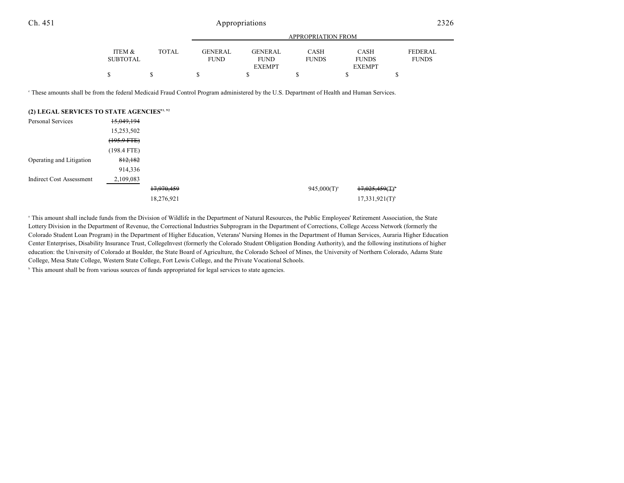|                 |        |                | APPROPRIATION FROM |              |               |                |  |  |  |
|-----------------|--------|----------------|--------------------|--------------|---------------|----------------|--|--|--|
|                 |        |                |                    |              |               |                |  |  |  |
| ITEM &          | TOTAL. | <b>GENERAL</b> | <b>GENERAL</b>     | CASH         | CASH          | <b>FEDERAL</b> |  |  |  |
| <b>SUBTOTAL</b> |        | <b>FUND</b>    | <b>FUND</b>        | <b>FUNDS</b> | <b>FUNDS</b>  | <b>FUNDS</b>   |  |  |  |
|                 |        |                | <b>EXEMPT</b>      |              | <b>EXEMPT</b> |                |  |  |  |
|                 |        |                |                    |              |               |                |  |  |  |

<sup>e</sup> These amounts shall be from the federal Medicaid Fraud Control Program administered by the U.S. Department of Health and Human Services.

| (2) LEGAL SERVICES TO STATE AGENCIES <sup>91, 92</sup> |                |            |  |                  |                               |
|--------------------------------------------------------|----------------|------------|--|------------------|-------------------------------|
| Personal Services                                      | 15,049,194     |            |  |                  |                               |
|                                                        | 15,253,502     |            |  |                  |                               |
|                                                        | $(195.9 + TE)$ |            |  |                  |                               |
|                                                        | $(198.4$ FTE)  |            |  |                  |                               |
| Operating and Litigation                               | 812,182        |            |  |                  |                               |
|                                                        | 914,336        |            |  |                  |                               |
| <b>Indirect Cost Assessment</b>                        | 2,109,083      |            |  |                  |                               |
|                                                        |                | 17,970,459 |  | $945,000(T)^{a}$ | $17,025,459($ T) <sup>*</sup> |
|                                                        |                | 18,276,921 |  |                  | $17,331,921(T)$ <sup>b</sup>  |

<sup>a</sup> This amount shall include funds from the Division of Wildlife in the Department of Natural Resources, the Public Employees' Retirement Association, the State Lottery Division in the Department of Revenue, the Correctional Industries Subprogram in the Department of Corrections, College Access Network (formerly the Colorado Student Loan Program) in the Department of Higher Education, Veterans' Nursing Homes in the Department of Human Services, Auraria Higher Education Center Enterprises, Disability Insurance Trust, CollegeInvest (formerly the Colorado Student Obligation Bonding Authority), and the following institutions of higher education: the University of Colorado at Boulder, the State Board of Agriculture, the Colorado School of Mines, the University of Northern Colorado, Adams State College, Mesa State College, Western State College, Fort Lewis College, and the Private Vocational Schools.

<sup>b</sup> This amount shall be from various sources of funds appropriated for legal services to state agencies.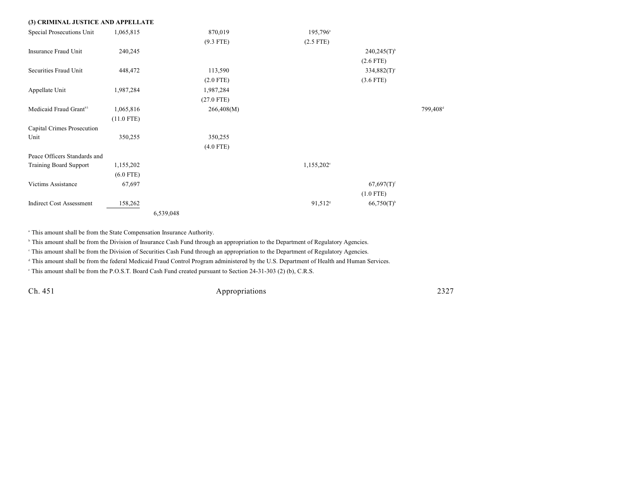| (3) CRIMINAL JUSTICE AND APPELLATE |              |           |              |                      |                           |         |
|------------------------------------|--------------|-----------|--------------|----------------------|---------------------------|---------|
| Special Prosecutions Unit          | 1,065,815    |           | 870,019      | 195,796 <sup>a</sup> |                           |         |
|                                    |              |           | $(9.3$ FTE)  | $(2.5$ FTE)          |                           |         |
| Insurance Fraud Unit               | 240,245      |           |              |                      | $240,245(T)$ <sup>b</sup> |         |
|                                    |              |           |              |                      | $(2.6$ FTE)               |         |
| Securities Fraud Unit              | 448,472      |           | 113,590      |                      | $334,882(T)$ <sup>c</sup> |         |
|                                    |              |           | $(2.0$ FTE)  |                      | $(3.6$ FTE)               |         |
| Appellate Unit                     | 1,987,284    |           | 1,987,284    |                      |                           |         |
|                                    |              |           | $(27.0$ FTE) |                      |                           |         |
| Medicaid Fraud Grant <sup>93</sup> | 1,065,816    |           | 266,408(M)   |                      |                           | 799,408 |
|                                    | $(11.0$ FTE) |           |              |                      |                           |         |
| Capital Crimes Prosecution         |              |           |              |                      |                           |         |
| Unit                               | 350,255      |           | 350,255      |                      |                           |         |
|                                    |              |           | $(4.0$ FTE)  |                      |                           |         |
| Peace Officers Standards and       |              |           |              |                      |                           |         |
| <b>Training Board Support</b>      | 1,155,202    |           |              | $1,155,202^{\circ}$  |                           |         |
|                                    | $(6.0$ FTE)  |           |              |                      |                           |         |
| Victims Assistance                 | 67,697       |           |              |                      | $67,697(T)$ <sup>f</sup>  |         |
|                                    |              |           |              |                      | $(1.0$ FTE)               |         |
| <b>Indirect Cost Assessment</b>    | 158,262      |           |              | 91,512 <sup>s</sup>  | $66,750(T)$ <sup>h</sup>  |         |
|                                    |              | 6,539,048 |              |                      |                           |         |

<sup>a</sup> This amount shall be from the State Compensation Insurance Authority.

<sup>h</sup> This amount shall be from the Division of Insurance Cash Fund through an appropriation to the Department of Regulatory Agencies.

This amount shall be from the Division of Securities Cash Fund through an appropriation to the Department of Regulatory Agencies.

<sup>d</sup> This amount shall be from the federal Medicaid Fraud Control Program administered by the U.S. Department of Health and Human Services.

This amount shall be from the P.O.S.T. Board Cash Fund created pursuant to Section 24-31-303 (2) (b), C.R.S.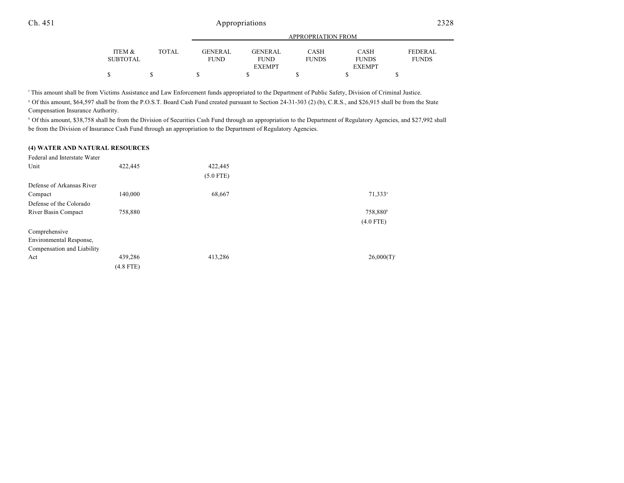|                 |              | APPROPRIATION FROM |                |              |               |                |  |  |
|-----------------|--------------|--------------------|----------------|--------------|---------------|----------------|--|--|
|                 |              |                    |                |              |               |                |  |  |
| ITEM &          | <b>TOTAL</b> | <b>GENERAL</b>     | <b>GENERAL</b> | CASH         | CASH          | <b>FEDERAL</b> |  |  |
| <b>SUBTOTAL</b> |              | <b>FUND</b>        | <b>FUND</b>    | <b>FUNDS</b> | <b>FUNDS</b>  | <b>FUNDS</b>   |  |  |
|                 |              |                    | <b>EXEMPT</b>  |              | <b>EXEMPT</b> |                |  |  |
|                 |              |                    |                |              |               |                |  |  |

<sup>f</sup> This amount shall be from Victims Assistance and Law Enforcement funds appropriated to the Department of Public Safety, Division of Criminal Justice. Of this amount, \$64,597 shall be from the P.O.S.T. Board Cash Fund created pursuant to Section 24-31-303 (2) (b), C.R.S., and \$26,915 shall be from the State <sup>g</sup> Compensation Insurance Authority.

<sup>b</sup> Of this amount, \$38,758 shall be from the Division of Securities Cash Fund through an appropriation to the Department of Regulatory Agencies, and \$27,992 shall be from the Division of Insurance Cash Fund through an appropriation to the Department of Regulatory Agencies.

#### **(4) WATER AND NATURAL RESOURCES**

| Federal and Interstate Water |             |             |                          |
|------------------------------|-------------|-------------|--------------------------|
| Unit                         | 422,445     | 422,445     |                          |
|                              |             | $(5.0$ FTE) |                          |
| Defense of Arkansas River    |             |             |                          |
| Compact                      | 140,000     | 68,667      | 71,333 <sup>a</sup>      |
| Defense of the Colorado      |             |             |                          |
| River Basin Compact          | 758,880     |             | 758,880 <sup>b</sup>     |
|                              |             |             | $(4.0$ FTE)              |
| Comprehensive                |             |             |                          |
| Environmental Response,      |             |             |                          |
| Compensation and Liability   |             |             |                          |
| Act                          | 439,286     | 413,286     | $26,000(T)$ <sup>c</sup> |
|                              | $(4.8$ FTE) |             |                          |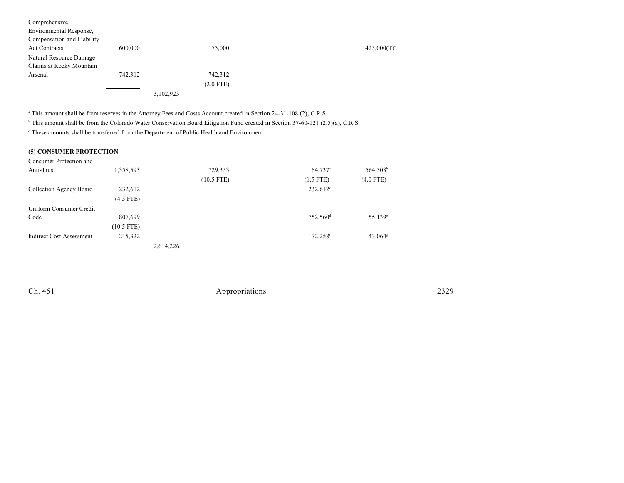| Comprehensive              |           |             |            |
|----------------------------|-----------|-------------|------------|
| Environmental Response,    |           |             |            |
| Compensation and Liability |           |             |            |
| <b>Act Contracts</b>       | 600,000   | 175,000     | 425,000(T) |
| Natural Resource Damage    |           |             |            |
| Claims at Rocky Mountain   |           |             |            |
| Arsenal                    | 742,312   | 742,312     |            |
|                            |           | $(2.0$ FTE) |            |
|                            | 3,102,923 |             |            |

<sup>a</sup> This amount shall be from reserves in the Attorney Fees and Costs Account created in Section 24-31-108 (2), C.R.S.

<sup>b</sup> This amount shall be from the Colorado Water Conservation Board Litigation Fund created in Section 37-60-121 (2.5)(a), C.R.S.

 $^\circ$  These amounts shall be transferred from the Department of Public Health and Environment.

### **(5) CONSUMER PROTECTION**

| Consumer Protection and         |              |           |              |                      |                       |
|---------------------------------|--------------|-----------|--------------|----------------------|-----------------------|
| Anti-Trust                      | 1,358,593    |           | 729,353      | 64,737 <sup>a</sup>  | 564,503 <sup>b</sup>  |
|                                 |              |           | $(10.5$ FTE) | $(1.5$ FTE)          | $(4.0$ FTE)           |
| Collection Agency Board         | 232,612      |           |              | 232,612 <sup>c</sup> |                       |
|                                 | $(4.5$ FTE)  |           |              |                      |                       |
| Uniform Consumer Credit         |              |           |              |                      |                       |
| Code                            | 807,699      |           |              | 752,560 <sup>d</sup> | $55,139^{\circ}$      |
|                                 | $(10.5$ FTE) |           |              |                      |                       |
| <b>Indirect Cost Assessment</b> | 215,322      |           |              | 172,258f             | $43,064$ <sup>s</sup> |
|                                 |              | 2,614,226 |              |                      |                       |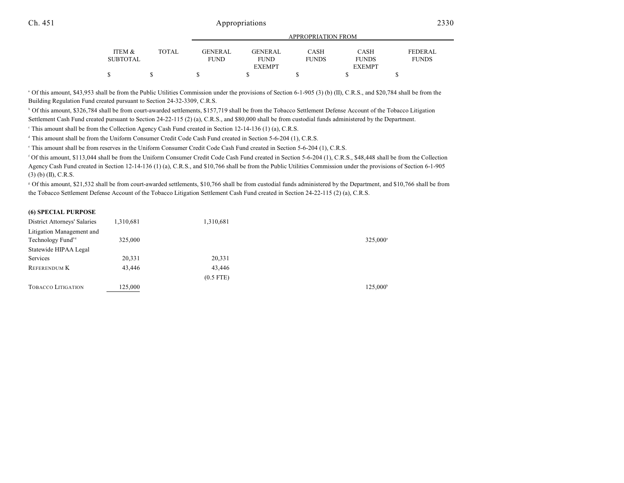|          |       | ALLINOI INTERON LINOIVI |                |              |               |              |  |  |
|----------|-------|-------------------------|----------------|--------------|---------------|--------------|--|--|
| ITEM &   | TOTAL | <b>GENERAL</b>          | <b>GENERAL</b> | CASH         | CASH          | FEDERAL.     |  |  |
| SUBTOTAL |       | <b>FUND</b>             | <b>FUND</b>    | <b>FUNDS</b> | <b>FUNDS</b>  | <b>FUNDS</b> |  |  |
|          |       |                         | <b>EXEMPT</b>  |              | <b>EXEMPT</b> |              |  |  |
|          |       |                         |                |              |               |              |  |  |

APPROPRIATION FROM

<sup>a</sup> Of this amount, \$43,953 shall be from the Public Utilities Commission under the provisions of Section 6-1-905 (3) (b) (II), C.R.S., and \$20,784 shall be from the Building Regulation Fund created pursuant to Section 24-32-3309, C.R.S.

<sup>b</sup> Of this amount, \$326,784 shall be from court-awarded settlements, \$157,719 shall be from the Tobacco Settlement Defense Account of the Tobacco Litigation Settlement Cash Fund created pursuant to Section 24-22-115 (2) (a), C.R.S., and \$80,000 shall be from custodial funds administered by the Department.

This amount shall be from the Collection Agency Cash Fund created in Section 12-14-136 (1) (a), C.R.S. <sup>c</sup>

<sup>d</sup> This amount shall be from the Uniform Consumer Credit Code Cash Fund created in Section 5-6-204 (1), C.R.S.

<sup>e</sup> This amount shall be from reserves in the Uniform Consumer Credit Code Cash Fund created in Section 5-6-204 (1), C.R.S.

 Of this amount, \$113,044 shall be from the Uniform Consumer Credit Code Cash Fund created in Section 5-6-204 (1), C.R.S., \$48,448 shall be from the Collection <sup>f</sup> Agency Cash Fund created in Section 12-14-136 (1) (a), C.R.S., and \$10,766 shall be from the Public Utilities Commission under the provisions of Section 6-1-905 (3) (b) (II), C.R.S.

 Of this amount, \$21,532 shall be from court-awarded settlements, \$10,766 shall be from custodial funds administered by the Department, and \$10,766 shall be from <sup>g</sup> the Tobacco Settlement Defense Account of the Tobacco Litigation Settlement Cash Fund created in Section 24-22-115 (2) (a), C.R.S.

#### **(6) SPECIAL PURPOSE**

| District Attorneys' Salaries  | 1,310,681 | 1,310,681   |                      |
|-------------------------------|-----------|-------------|----------------------|
| Litigation Management and     |           |             |                      |
| Technology Fund <sup>94</sup> | 325,000   |             | 325,000 <sup>a</sup> |
| Statewide HIPAA Legal         |           |             |                      |
| Services                      | 20,331    | 20,331      |                      |
| REFERENDUM K                  | 43,446    | 43,446      |                      |
|                               |           | $(0.5$ FTE) |                      |
| <b>TOBACCO LITIGATION</b>     | 125,000   |             | $125,000^{\circ}$    |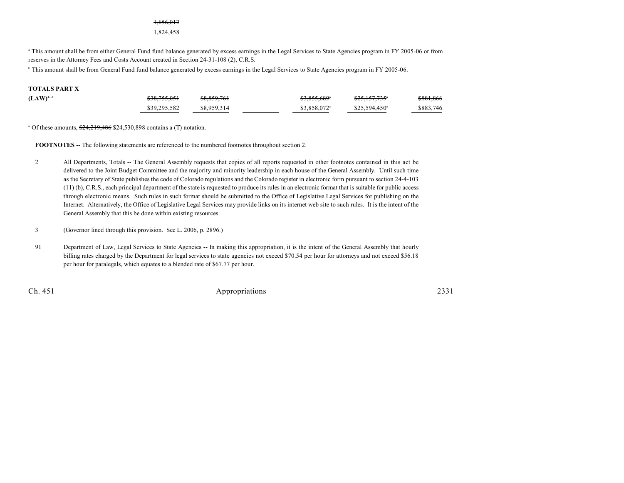#### 1,656,012

1,824,458

<sup>a</sup> This amount shall be from either General Fund fund balance generated by excess earnings in the Legal Services to State Agencies program in FY 2005-06 or from reserves in the Attorney Fees and Costs Account created in Section 24-31-108 (2), C.R.S.

<sup>b</sup> This amount shall be from General Fund fund balance generated by excess earnings in the Legal Services to State Agencies program in FY 2005-06.

#### **TOTALS PART X**

| $(LAW)^{2,3}$ | <del>\$38,755,051</del> | \$8,859,761 | <del>\$3,855,689</del> * | \$25,157,735*         | \$881,866 |
|---------------|-------------------------|-------------|--------------------------|-----------------------|-----------|
|               | \$39,295,582            | \$8,959,314 | \$3.858.072 <sup>a</sup> | $$25.594.450^{\circ}$ | \$883,746 |

 $^{\circ}$  Of these amounts,  $\frac{$24,219,486}{$24,530,898}$  contains a (T) notation.

**FOOTNOTES** -- The following statements are referenced to the numbered footnotes throughout section 2.

- 2 All Departments, Totals -- The General Assembly requests that copies of all reports requested in other footnotes contained in this act be delivered to the Joint Budget Committee and the majority and minority leadership in each house of the General Assembly. Until such time as the Secretary of State publishes the code of Colorado regulations and the Colorado register in electronic form pursuant to section 24-4-103 (11) (b), C.R.S., each principal department of the state is requested to produce its rules in an electronic format that is suitable for public access through electronic means. Such rules in such format should be submitted to the Office of Legislative Legal Services for publishing on the Internet. Alternatively, the Office of Legislative Legal Services may provide links on its internet web site to such rules. It is the intent of the General Assembly that this be done within existing resources.
- 3 (Governor lined through this provision. See L. 2006, p. 2896.)
- 91 Department of Law, Legal Services to State Agencies -- In making this appropriation, it is the intent of the General Assembly that hourly billing rates charged by the Department for legal services to state agencies not exceed \$70.54 per hour for attorneys and not exceed \$56.18 per hour for paralegals, which equates to a blended rate of \$67.77 per hour.